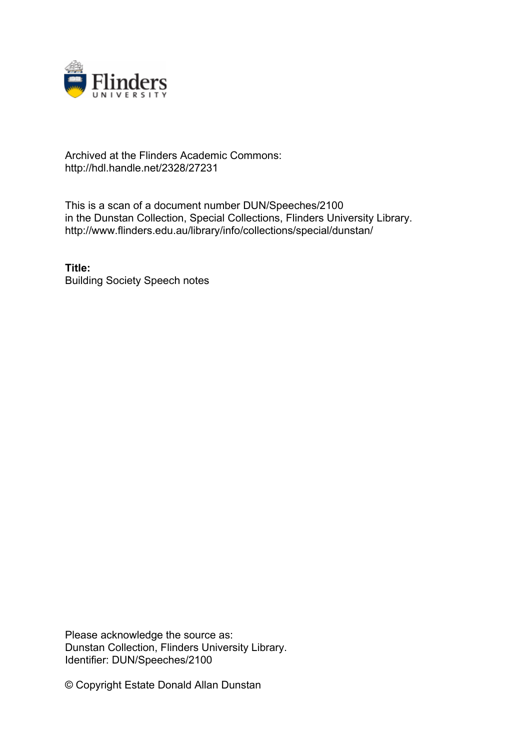

## Archived at the Flinders Academic Commons: http://hdl.handle.net/2328/27231

This is a scan of a document number DUN/Speeches/2100 in the Dunstan Collection, Special Collections, Flinders University Library. http://www.flinders.edu.au/library/info/collections/special/dunstan/

**Title:** Building Society Speech notes

Please acknowledge the source as: Dunstan Collection, Flinders University Library. Identifier: DUN/Speeches/2100

© Copyright Estate Donald Allan Dunstan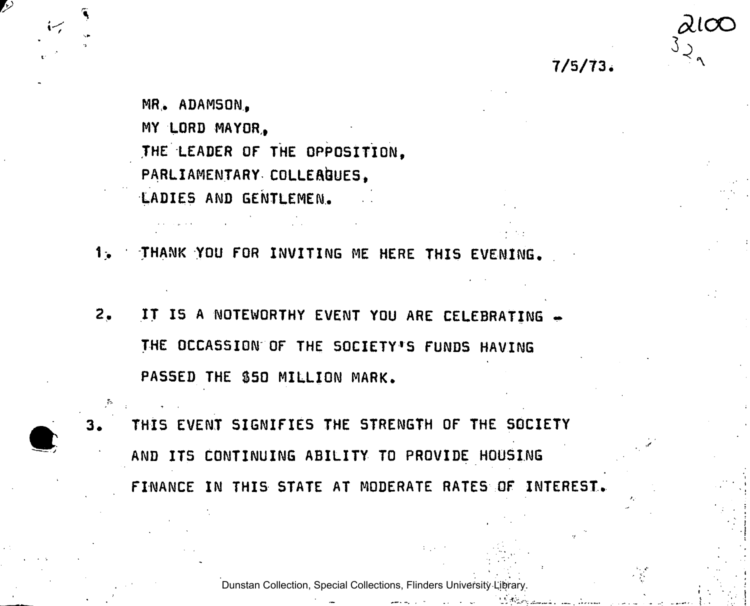7/5/73

 $\lambda$ l $\infty$ 

MR,. ADAMSON, MY LORD MAYOR,, THE LEADER OF THE OPPOSITION, PARLIAMENTARY COLLEAGUES, LADIES AND GENTLEMEN.

THANK YOU FOR INVITING ME HERE THIS EVENING.  $1<sub>o</sub>$ 

- $2.$ IT IS A NOTEWORTHY EVENT YOU ARE CELEBRATING -THE OCCASSION OF THE SOCIETY'S FUNDS HAVING PASSED THE \$50 MILLION MARK.
- THIS EVENT SIGNIFIES THE STRENGTH OF THE SOCIETY AND ITS CONTINUING ABILITY TO PROVIDE HOUSING FINANCE IN THIS STATE AT MODERATE RATES OF INTEREST.

Dunstan Collection, Special Collections, Flinders University Library.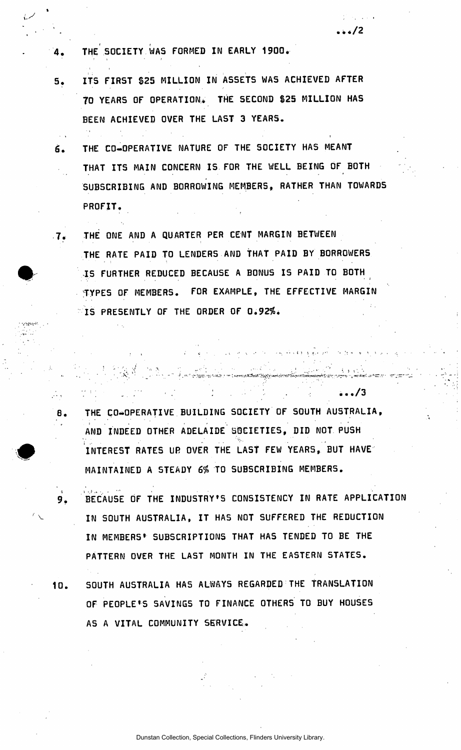- THE SOCIETY WAS FORMED IN EARLY 1900. 4.
- ITS FIRST 825 MILLION IN ASSETS WAS ACHIEVED AFTER  $5.$ TO YEARS OF OPERATION. THE SECOND \$25 MILLION HAS BEEN ACHIEVED OVER THE LAST 3 YEARS.

**• • \*/2** 

 $\ldots/3$ 

- THE CO-OPERATIVE NATURE OF THE SOCIETY HAS MEANT Ġ. THAT ITS MAIN CONCERN IS FOR THE WELL BEING OF BOTH  $\frac{1}{2}$  ,  $\frac{1}{2}$ SUBSCRIBING AND BORROWING MEMBERS, RATHER THAN TOWARDS PROFIT,
- THE ONE AND A QUARTER PER CENT MARGIN BETWEEN  $-7.7$ THE RATE PAID TO LENDERS AND THAT PAID BY BORROWERS IS FURTHER REDUCED BECAUSE A BONUS IS PAID TO BOTH TYPES OF MEMBERS. FOR EXAMPLE, THE EFFECTIVE MARGIN  $\degree$ IS PRESENTLY OF THE ORDER OF 0.92%.

وألألي

8.

THE CO-OPERATIVE BUILDING SOCIETY OF SOUTH AU5TRALIA, AND INDEED OTHER ADELAIDE SOCIETIES, DID NOT PUSH INTEREST RATES UR OVER THE LAST FEW YEARS, BUT HAVE MAINTAINED A STEADY *6%* TO SUBSCRIBING MEMBERS.

- BECAUSE OF THE INDUSTRY'S CONSISTENCY IN RATE APPLICATION  $9.$ IN SOUTH AUSTRALIA, IT HAS NOT SUFFERED THE REDUCTION IN MEMBERS\* SUBSCRIPTIONS THAT HAS TENDED TO BE THE PATTERN OVER THE LAST MONTH IN THE EASTERN STATES.
- SOUTH AUSTRALIA HAS ALWAYS REGARDED THE TRANSLATION 10. OF PEOPLE\*S SAVINGS TO FINANCE OTHERS TO BUY HOUSES AS A VITAL COMMUNITY SERVICE.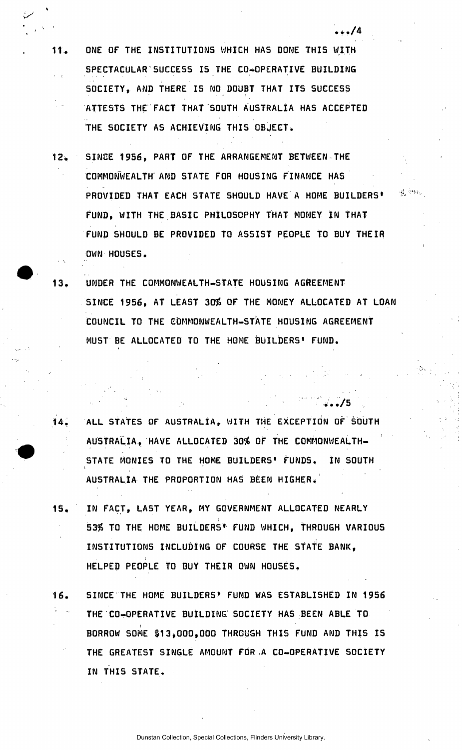11. ONE OF THE INSTITUTIONS WHICH HAS DONE THIS WITH SPECTACULAR'SUCCESS IS THE CO-OPERATIVE BUILDING SOCIETY, AND THERE IS NO DOUBT THAT ITS SUCCESS ATTESTS THE FACT THAT SOUTH AUSTRALIA HAS ACCEPTED THE SOCIETY AS ACHIEVING THIS OBJECT.

• *•••/A* 

 $\frac{1}{2} \frac{d}{2} \left( \frac{d}{2} \frac{d}{2} \frac{d}{2} \right)$ 

• •./5 .

- 12. SINCE 1956, PART OF THE ARRANGEMENT BETWEEN THE COMMONWEALTH AND STATE FOR HOUSING FINANCE HAS PROVIDED THAT EACH STATE SHOULD HAVE A HOME BUILDERS' FUND, WITH THE BASIC PHILOSOPHY THAT MONEY IN THAT FUND SHOULD BE PROVIDED TO ASSIST PEOPLE tO BUY THEIR OWN HOUSES.
- 13. UNDER THE COMMONWEALTH-STATE HOUSING AGREEMENT SINCE 1956, AT LEAST 30% OF THE MONEY ALLOCATED AT LOAN COUNCIL TO THE COMMONWEALTH-STATE HOUSING AGREEMENT MUST BE ALLOCATED TO THE HOME BUILDERS' FUND.
- 14. ALL STATES OF AUSTRALIA, WITH THE EXCEPTION OF SOUTH AUSTRALIA, HAVE ALLOCATED 30ft OF THE COMMONWEALTH-STATE MONIES TO THE HOME BUILDERS' FUNDS. IN SOUTH AUSTRALIA THE PROPORTION HAS BEEN HIGHER.
- 15. IN FACT, LAST YEAR, MY GOVERNMENT ALLOCATED NEARLY 53% TO THE HOME BUILDERS<sup>\*</sup> FUND WHICH, THROUGH VARIOUS INSTITUTIONS INCLUDING OF COURSE THE STATE BANK, HELPED PEOPLE TO BUY THEIR OWN HOUSES.
- 16. SINCE THE HOME BUILDERS' FUND WAS ESTABLISHED IN 1956 THE CO-OPERATIVE BUILDING. SOCIETY HAS BEEN ABLE TO BORROW SOME \$13,000,000 THROUGH THIS FUND AND THIS IS THE GREATEST SINGLE AMOUNT FOR A CO-OPERATIVE SOCIETY IN THI5 STATE.

Dunstan Collection, Special Collections, Flinders University Library.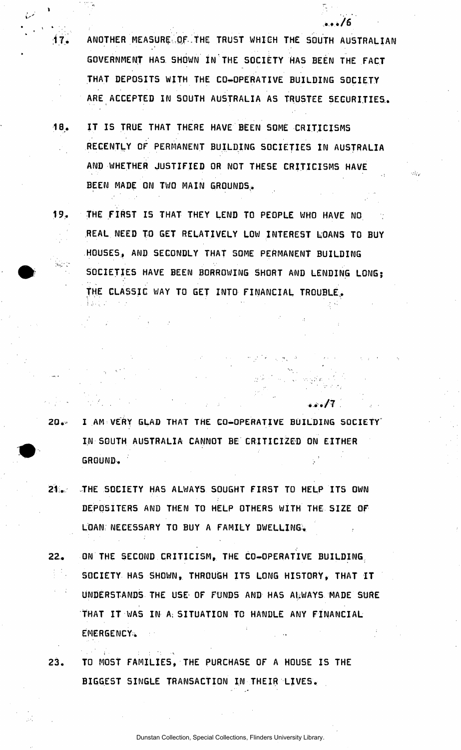17. ANOTHER MEASURE OF THE TRUST WHICH THE SOUTH AUSTRALIAN GOVERNMENT HAS SHOWN IN THE SOCIETY HAS BEEN THE FACT THAT DEPOSITS WITH THE CO-OPERATIVE BUILDING SOCIETY ARE ACCEPTED IN SOUTH AUSTRALIA AS TRUSTEE SECURITIES,.

. . . . / 6

 $\ldots/7$  .

ah.

- 18. IT IS TRUE THAT THERE HAVE BEEN SOME CRITICISMS RECENTLY OF PERMANENT BUILDING SOCIETIES IN AUSTRALIA  $\mathcal{L}_{\mathcal{A}}$ AND WHETHER JUSTIFIED OR NOT THESE CRITICISMS HAVE BEEN MADE ON TWO MAIN GROUNDS.
- 19.. THE FIRST IS THAT THEY LEND TO PEOPLE WHO HAVE NO REAL NEED TO GET RELATIVELY LOW INTEREST LOANS TO BUY HOUSES, AND SECONDLY THAT SOME PERMANENT BUILDING SOCIETIES HAVE BEEN BORROWING SHORT AND LENDING LONGJ THE CLASSIC WAY TO GET INTO FINANCIAL TROUBLE.

- 20. I AM VERY GLAD THAT THE CO-OPERATIVE BUILDING SOCIETY' IN SOUTH AUSTRALIA CANNOT BE CRITICIZED ON EITHER GROUND.
- 21. THE SOCIETY HAS ALWAYS SOUGHT FIRST TO HELP ITS OWN DEPOSITERS AND THEN TO HELP OTHERS WITH THE SIZE OF LOAN; NECESSARY TO BUY A FAMILY DWELLING.
- 22,. ON THE SECOND CRITICISM, THE CO-OPERATIVE BUILDING SOCIETY HAS SHOWN, THROUGH ITS LONG HISTORY, THAT IT UNDERSTANDS THE USE OF FUNDS AND HAS ALWAYS MADE SURE THAT IT WAS IN A; SITUATION TO HANDLE ANY FINANCIAL EMERGENCY.
- 23. TO MOST FAMILIES, THE PURCHASE OF A HOUSE IS THE BIGGEST SINGLE TRANSACTION IN THEIR LIVES.